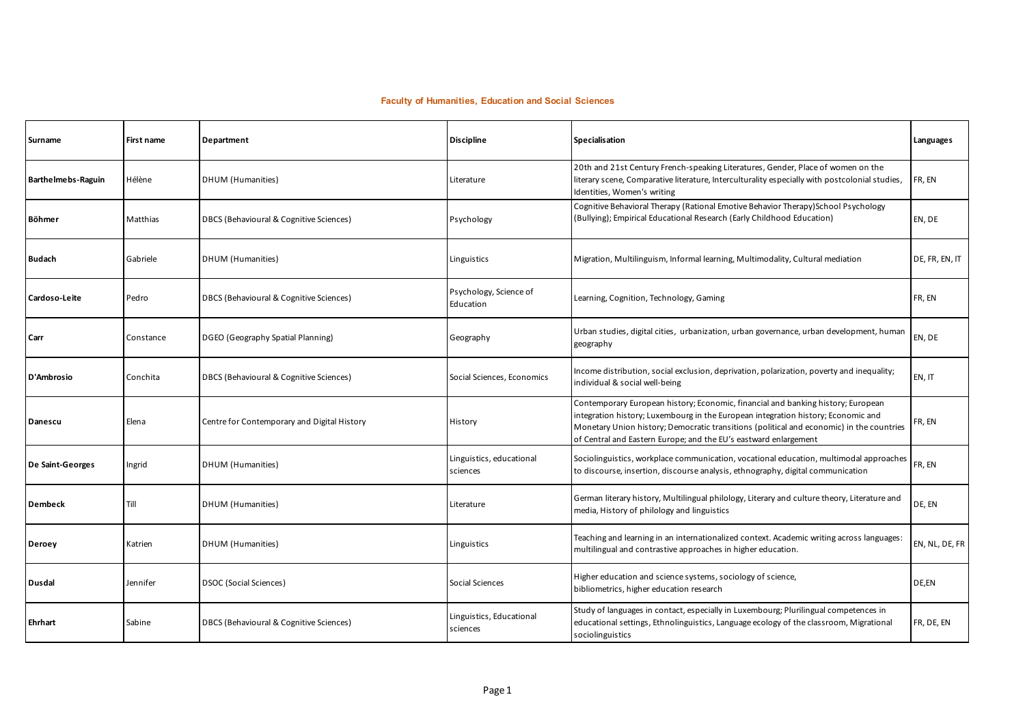## **Faculty of Humanities, Education and Social Sciences**

| Surname            | First name | Department                                  | <b>Discipline</b>                    | Specialisation                                                                                                                                                                                                                                                                                                                        | Languages      |
|--------------------|------------|---------------------------------------------|--------------------------------------|---------------------------------------------------------------------------------------------------------------------------------------------------------------------------------------------------------------------------------------------------------------------------------------------------------------------------------------|----------------|
| Barthelmebs-Raguin | Hélène     | DHUM (Humanities)                           | Literature                           | 20th and 21st Century French-speaking Literatures, Gender, Place of women on the<br>literary scene, Comparative literature, Interculturality especially with postcolonial studies,<br>Identities, Women's writing                                                                                                                     | FR, EN         |
| Böhmer             | Matthias   | DBCS (Behavioural & Cognitive Sciences)     | Psychology                           | Cognitive Behavioral Therapy (Rational Emotive Behavior Therapy)School Psychology<br>(Bullying); Empirical Educational Research (Early Childhood Education)                                                                                                                                                                           | EN, DE         |
| <b>Budach</b>      | Gabriele   | DHUM (Humanities)                           | Linguistics                          | Migration, Multilinguism, Informal learning, Multimodality, Cultural mediation                                                                                                                                                                                                                                                        | DE, FR, EN, IT |
| Cardoso-Leite      | Pedro      | DBCS (Behavioural & Cognitive Sciences)     | Psychology, Science of<br>Education  | Learning, Cognition, Technology, Gaming                                                                                                                                                                                                                                                                                               | FR, EN         |
| Carr               | Constance  | DGEO (Geography Spatial Planning)           | Geography                            | Urban studies, digital cities, urbanization, urban governance, urban development, human<br>geography                                                                                                                                                                                                                                  | EN, DE         |
| D'Ambrosio         | Conchita   | DBCS (Behavioural & Cognitive Sciences)     | Social Sciences, Economics           | Income distribution, social exclusion, deprivation, polarization, poverty and inequality;<br>individual & social well-being                                                                                                                                                                                                           | EN, IT         |
| Danescu            | Elena      | Centre for Contemporary and Digital History | History                              | Contemporary European history; Economic, financial and banking history; European<br>integration history; Luxembourg in the European integration history; Economic and<br>Monetary Union history; Democratic transitions (political and economic) in the countries<br>of Central and Eastern Europe; and the EU's eastward enlargement | FR, EN         |
| De Saint-Georges   | Ingrid     | DHUM (Humanities)                           | Linguistics, educational<br>sciences | Sociolinguistics, workplace communication, vocational education, multimodal approaches<br>to discourse, insertion, discourse analysis, ethnography, digital communication                                                                                                                                                             | FR, EN         |
| Dembeck            | Till       | DHUM (Humanities)                           | Literature                           | German literary history, Multilingual philology, Literary and culture theory, Literature and<br>media, History of philology and linguistics                                                                                                                                                                                           | DE, EN         |
| Deroey             | Katrien    | DHUM (Humanities)                           | Linguistics                          | Teaching and learning in an internationalized context. Academic writing across languages:<br>multilingual and contrastive approaches in higher education.                                                                                                                                                                             | EN, NL, DE, FR |
| Dusdal             | Jennifer   | <b>DSOC</b> (Social Sciences)               | Social Sciences                      | Higher education and science systems, sociology of science,<br>bibliometrics, higher education research                                                                                                                                                                                                                               | DE,EN          |
| Ehrhart            | Sabine     | DBCS (Behavioural & Cognitive Sciences)     | Linguistics, Educational<br>sciences | Study of languages in contact, especially in Luxembourg; Plurilingual competences in<br>educational settings, Ethnolinguistics, Language ecology of the classroom, Migrational<br>sociolinguistics                                                                                                                                    | FR, DE, EN     |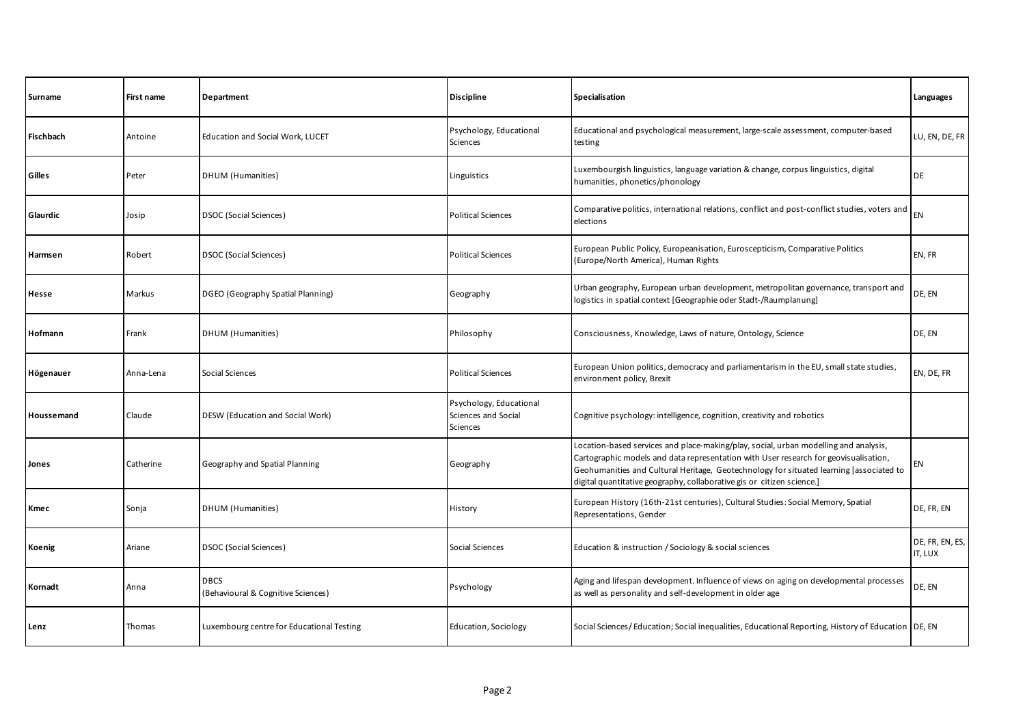| Surname    | First name | Department                                        | <b>Discipline</b>                                          | Specialisation                                                                                                                                                                                                                                                                                                                                    | Languages                  |
|------------|------------|---------------------------------------------------|------------------------------------------------------------|---------------------------------------------------------------------------------------------------------------------------------------------------------------------------------------------------------------------------------------------------------------------------------------------------------------------------------------------------|----------------------------|
| Fischbach  | Antoine    | Education and Social Work, LUCET                  | Psychology, Educational<br>Sciences                        | Educational and psychological measurement, large-scale assessment, computer-based<br>testing                                                                                                                                                                                                                                                      | LU, EN, DE, FR             |
| Gilles     | Peter      | DHUM (Humanities)                                 | Linguistics                                                | Luxembourgish linguistics, language variation & change, corpus linguistics, digital<br>humanities, phonetics/phonology                                                                                                                                                                                                                            | DE                         |
| Glaurdic   | Josip      | DSOC (Social Sciences)                            | <b>Political Sciences</b>                                  | Comparative politics, international relations, conflict and post-conflict studies, voters and<br>elections                                                                                                                                                                                                                                        | EN                         |
| Harmsen    | Robert     | DSOC (Social Sciences)                            | <b>Political Sciences</b>                                  | European Public Policy, Europeanisation, Euroscepticism, Comparative Politics<br>(Europe/North America), Human Rights                                                                                                                                                                                                                             | EN, FR                     |
| Hesse      | Markus     | DGEO (Geography Spatial Planning)                 | Geography                                                  | Urban geography, European urban development, metropolitan governance, transport and<br>logistics in spatial context [Geographie oder Stadt-/Raumplanung]                                                                                                                                                                                          | DE, EN                     |
| Hofmann    | Frank      | DHUM (Humanities)                                 | Philosophy                                                 | Consciousness, Knowledge, Laws of nature, Ontology, Science                                                                                                                                                                                                                                                                                       | DE, EN                     |
| Högenauer  | Anna-Lena  | Social Sciences                                   | <b>Political Sciences</b>                                  | European Union politics, democracy and parliamentarism in the EU, small state studies,<br>environment policy, Brexit                                                                                                                                                                                                                              | EN, DE, FR                 |
| Houssemand | Claude     | DESW (Education and Social Work)                  | Psychology, Educational<br>Sciences and Social<br>Sciences | Cognitive psychology: intelligence, cognition, creativity and robotics                                                                                                                                                                                                                                                                            |                            |
| Jones      | Catherine  | Geography and Spatial Planning                    | Geography                                                  | Location-based services and place-making/play, social, urban modelling and analysis,<br>Cartographic models and data representation with User research for geovisualisation,<br>Geohumanities and Cultural Heritage, Geotechnology for situated learning [associated to<br>digital quantitative geography, collaborative gis or citizen science.] | EN                         |
| Kmec       | Sonja      | DHUM (Humanities)                                 | History                                                    | European History (16th-21st centuries), Cultural Studies: Social Memory, Spatial<br>Representations, Gender                                                                                                                                                                                                                                       | DE, FR, EN                 |
| Koenig     | Ariane     | DSOC (Social Sciences)                            | Social Sciences                                            | Education & instruction / Sociology & social sciences                                                                                                                                                                                                                                                                                             | DE, FR, EN, ES,<br>IT, LUX |
| Kornadt    | Anna       | <b>DBCS</b><br>(Behavioural & Cognitive Sciences) | Psychology                                                 | Aging and lifespan development. Influence of views on aging on developmental processes<br>as well as personality and self-development in older age                                                                                                                                                                                                | DE, EN                     |
| Lenz       | Thomas     | Luxembourg centre for Educational Testing         | Education, Sociology                                       | Social Sciences/Education; Social inequalities, Educational Reporting, History of Education DE, EN                                                                                                                                                                                                                                                |                            |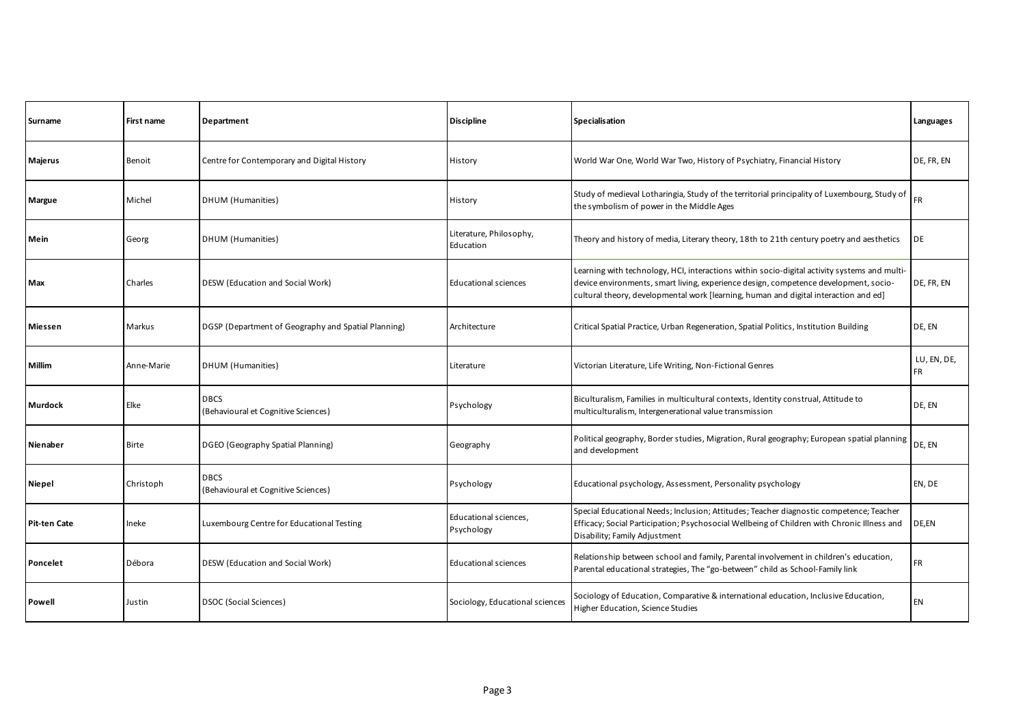| Surname      | First name   | Department                                          | <b>Discipline</b>                    | Specialisation                                                                                                                                                                                                                                                               | Languages                |
|--------------|--------------|-----------------------------------------------------|--------------------------------------|------------------------------------------------------------------------------------------------------------------------------------------------------------------------------------------------------------------------------------------------------------------------------|--------------------------|
| Majerus      | Benoit       | Centre for Contemporary and Digital History         | History                              | World War One, World War Two, History of Psychiatry, Financial History                                                                                                                                                                                                       | DE, FR, EN               |
| Margue       | Michel       | DHUM (Humanities)                                   | History                              | Study of medieval Lotharingia, Study of the territorial principality of Luxembourg, Study of<br>the symbolism of power in the Middle Ages                                                                                                                                    | <b>FR</b>                |
| Mein         | Georg        | DHUM (Humanities)                                   | Literature, Philosophy,<br>Education | Theory and history of media, Literary theory, 18th to 21th century poetry and aesthetics                                                                                                                                                                                     | DE                       |
| Max          | Charles      | DESW (Education and Social Work)                    | Educational sciences                 | Learning with technology, HCI, interactions within socio-digital activity systems and multi-<br>device environments, smart living, experience design, competence development, socio-<br>cultural theory, developmental work [learning, human and digital interaction and ed] | DE, FR, EN               |
| Miessen      | Markus       | DGSP (Department of Geography and Spatial Planning) | Architecture                         | Critical Spatial Practice, Urban Regeneration, Spatial Politics, Institution Building                                                                                                                                                                                        | DE, EN                   |
| Millim       | Anne-Marie   | DHUM (Humanities)                                   | Literature                           | Victorian Literature, Life Writing, Non-Fictional Genres                                                                                                                                                                                                                     | LU, EN, DE,<br><b>FR</b> |
| Murdock      | Elke         | <b>DBCS</b><br>(Behavioural et Cognitive Sciences)  | Psychology                           | Biculturalism, Families in multicultural contexts, Identity construal, Attitude to<br>multiculturalism, Intergenerational value transmission                                                                                                                                 | DE, EN                   |
| Nienaber     | <b>Birte</b> | DGEO (Geography Spatial Planning)                   | Geography                            | Political geography, Border studies, Migration, Rural geography; European spatial planning<br>and development                                                                                                                                                                | DE. EN                   |
| Niepel       | Christoph    | <b>DBCS</b><br>(Behavioural et Cognitive Sciences)  | Psychology                           | Educational psychology, Assessment, Personality psychology                                                                                                                                                                                                                   | EN, DE                   |
| Pit-ten Cate | Ineke        | Luxembourg Centre for Educational Testing           | Educational sciences,<br>Psychology  | Special Educational Needs; Inclusion; Attitudes; Teacher diagnostic competence; Teacher<br>Efficacy; Social Participation; Psychosocial Wellbeing of Children with Chronic Illness and<br>Disability; Family Adjustment                                                      | DE,EN                    |
| Poncelet     | Débora       | <b>DESW</b> (Education and Social Work)             | <b>Educational sciences</b>          | Relationship between school and family, Parental involvement in children's education,<br>Parental educational strategies, The "go-between" child as School-Family link                                                                                                       | <b>FR</b>                |
| Powell       | Justin       | DSOC (Social Sciences)                              | Sociology, Educational sciences      | Sociology of Education, Comparative & international education, Inclusive Education,<br>Higher Education, Science Studies                                                                                                                                                     | EN                       |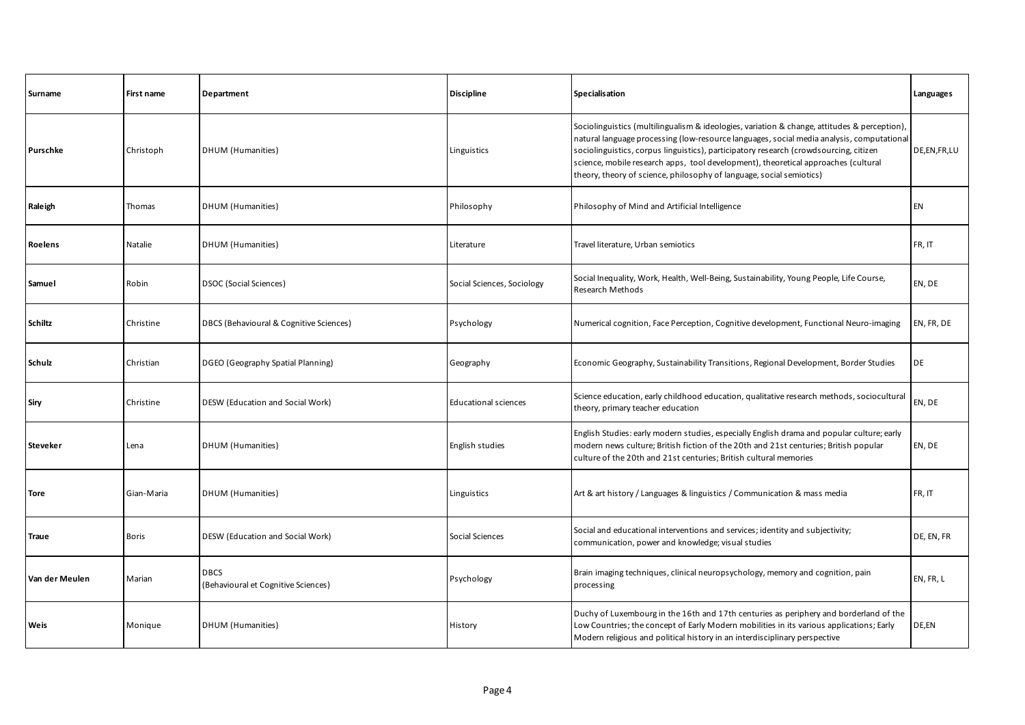| Surname         | First name   | Department                                         | <b>Discipline</b>           | <b>Specialisation</b>                                                                                                                                                                                                                                                                                                                                                                                                                            | Languages   |
|-----------------|--------------|----------------------------------------------------|-----------------------------|--------------------------------------------------------------------------------------------------------------------------------------------------------------------------------------------------------------------------------------------------------------------------------------------------------------------------------------------------------------------------------------------------------------------------------------------------|-------------|
| Purschke        | Christoph    | DHUM (Humanities)                                  | Linguistics                 | Sociolinguistics (multilingualism & ideologies, variation & change, attitudes & perception),<br>natural language processing (low-resource languages, social media analysis, computational<br>sociolinguistics, corpus linguistics), participatory research (crowdsourcing, citizen<br>science, mobile research apps, tool development), theoretical approaches (cultural<br>theory, theory of science, philosophy of language, social semiotics) | DE,EN,FR,LU |
| Raleigh         | Thomas       | DHUM (Humanities)                                  | Philosophy                  | Philosophy of Mind and Artificial Intelligence                                                                                                                                                                                                                                                                                                                                                                                                   | <b>EN</b>   |
| Roelens         | Natalie      | <b>DHUM</b> (Humanities)                           | Literature                  | Travel literature, Urban semiotics                                                                                                                                                                                                                                                                                                                                                                                                               | FR, IT      |
| Samuel          | Robin        | DSOC (Social Sciences)                             | Social Sciences, Sociology  | Social Inequality, Work, Health, Well-Being, Sustainability, Young People, Life Course,<br>Research Methods                                                                                                                                                                                                                                                                                                                                      | EN, DE      |
| Schiltz         | Christine    | DBCS (Behavioural & Cognitive Sciences)            | Psychology                  | Numerical cognition, Face Perception, Cognitive development, Functional Neuro-imaging                                                                                                                                                                                                                                                                                                                                                            | EN, FR, DE  |
| Schulz          | Christian    | DGEO (Geography Spatial Planning)                  | Geography                   | Economic Geography, Sustainability Transitions, Regional Development, Border Studies                                                                                                                                                                                                                                                                                                                                                             | DE          |
| Siry            | Christine    | DESW (Education and Social Work)                   | <b>Educational sciences</b> | Science education, early childhood education, qualitative research methods, sociocultural<br>theory, primary teacher education                                                                                                                                                                                                                                                                                                                   | EN, DE      |
| <b>Steveker</b> | Lena         | DHUM (Humanities)                                  | English studies             | English Studies: early modern studies, especially English drama and popular culture; early<br>modern news culture; British fiction of the 20th and 21st centuries; British popular<br>culture of the 20th and 21st centuries; British cultural memories                                                                                                                                                                                          | EN, DE      |
| Tore            | Gian-Maria   | DHUM (Humanities)                                  | Linguistics                 | Art & art history / Languages & linguistics / Communication & mass media                                                                                                                                                                                                                                                                                                                                                                         | FR, IT      |
| <b>Traue</b>    | <b>Boris</b> | DESW (Education and Social Work)                   | Social Sciences             | Social and educational interventions and services; identity and subjectivity;<br>communication, power and knowledge; visual studies                                                                                                                                                                                                                                                                                                              | DE, EN, FR  |
| Van der Meulen  | Marian       | <b>DBCS</b><br>(Behavioural et Cognitive Sciences) | Psychology                  | Brain imaging techniques, clinical neuropsychology, memory and cognition, pain<br>processing                                                                                                                                                                                                                                                                                                                                                     | EN, FR, L   |
| Weis            | Monique      | DHUM (Humanities)                                  | History                     | Duchy of Luxembourg in the 16th and 17th centuries as periphery and borderland of the<br>Low Countries; the concept of Early Modern mobilities in its various applications; Early<br>Modern religious and political history in an interdisciplinary perspective                                                                                                                                                                                  | DE,EN       |